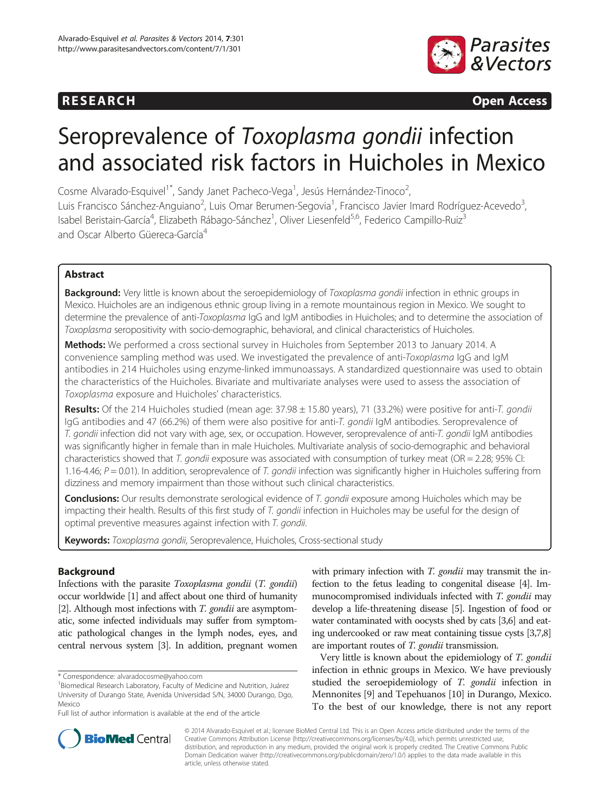## **RESEARCH RESEARCH CONSUMING ACCESS**



# Seroprevalence of Toxoplasma gondii infection and associated risk factors in Huicholes in Mexico

Cosme Alvarado-Esquivel<sup>1\*</sup>, Sandy Janet Pacheco-Vega<sup>1</sup>, Jesús Hernández-Tinoco<sup>2</sup> , Luis Francisco Sánchez-Anguiano<sup>2</sup>, Luis Omar Berumen-Segovia<sup>1</sup>, Francisco Javier Imard Rodríguez-Acevedo<sup>3</sup> , Isabel Beristain-García<sup>4</sup>, Elizabeth Rábago-Sánchez<sup>1</sup>, Oliver Liesenfeld<sup>5,6</sup>, Federico Campillo-Ruiz<sup>3</sup> and Oscar Alberto Güereca-García<sup>4</sup>

## Abstract

Background: Very little is known about the seroepidemiology of Toxoplasma gondii infection in ethnic groups in Mexico. Huicholes are an indigenous ethnic group living in a remote mountainous region in Mexico. We sought to determine the prevalence of anti-Toxoplasma IgG and IgM antibodies in Huicholes; and to determine the association of Toxoplasma seropositivity with socio-demographic, behavioral, and clinical characteristics of Huicholes.

Methods: We performed a cross sectional survey in Huicholes from September 2013 to January 2014. A convenience sampling method was used. We investigated the prevalence of anti-Toxoplasma IgG and IgM antibodies in 214 Huicholes using enzyme-linked immunoassays. A standardized questionnaire was used to obtain the characteristics of the Huicholes. Bivariate and multivariate analyses were used to assess the association of Toxoplasma exposure and Huicholes' characteristics.

Results: Of the 214 Huicholes studied (mean age: 37.98 ± 15.80 years), 71 (33.2%) were positive for anti-T. gondii IgG antibodies and 47 (66.2%) of them were also positive for anti-T. gondii IgM antibodies. Seroprevalence of T. gondii infection did not vary with age, sex, or occupation. However, seroprevalence of anti-T. gondii IgM antibodies was significantly higher in female than in male Huicholes. Multivariate analysis of socio-demographic and behavioral characteristics showed that T. gondii exposure was associated with consumption of turkey meat (OR = 2.28; 95% CI: 1.16-4.46;  $P = 0.01$ ). In addition, seroprevalence of T. gondii infection was significantly higher in Huicholes suffering from dizziness and memory impairment than those without such clinical characteristics.

Conclusions: Our results demonstrate serological evidence of T. gondii exposure among Huicholes which may be impacting their health. Results of this first study of T. gondii infection in Huicholes may be useful for the design of optimal preventive measures against infection with T. gondii.

Keywords: Toxoplasma gondii, Seroprevalence, Huicholes, Cross-sectional study

## Background

Infections with the parasite Toxoplasma gondii (T. gondii) occur worldwide [[1](#page-6-0)] and affect about one third of humanity [[2](#page-6-0)]. Although most infections with T. gondii are asymptomatic, some infected individuals may suffer from symptomatic pathological changes in the lymph nodes, eyes, and central nervous system [\[3\]](#page-6-0). In addition, pregnant women

\* Correspondence: [alvaradocosme@yahoo.com](mailto:alvaradocosme@yahoo.com) <sup>1</sup>

with primary infection with *T. gondii* may transmit the infection to the fetus leading to congenital disease [\[4\]](#page-6-0). Immunocompromised individuals infected with T. gondii may develop a life-threatening disease [\[5\]](#page-6-0). Ingestion of food or water contaminated with oocysts shed by cats [[3,6\]](#page-6-0) and eating undercooked or raw meat containing tissue cysts [\[3,7,8](#page-6-0)] are important routes of *T. gondii* transmission.

Very little is known about the epidemiology of T. gondii infection in ethnic groups in Mexico. We have previously studied the seroepidemiology of T. gondii infection in Mennonites [\[9](#page-6-0)] and Tepehuanos [\[10\]](#page-6-0) in Durango, Mexico. To the best of our knowledge, there is not any report



© 2014 Alvarado-Esquivel et al.; licensee BioMed Central Ltd. This is an Open Access article distributed under the terms of the Creative Commons Attribution License (<http://creativecommons.org/licenses/by/4.0>), which permits unrestricted use, distribution, and reproduction in any medium, provided the original work is properly credited. The Creative Commons Public Domain Dedication waiver [\(http://creativecommons.org/publicdomain/zero/1.0/\)](http://creativecommons.org/publicdomain/zero/1.0/) applies to the data made available in this article, unless otherwise stated.

<sup>&</sup>lt;sup>1</sup>Biomedical Research Laboratory, Faculty of Medicine and Nutrition, Juárez University of Durango State, Avenida Universidad S/N, 34000 Durango, Dgo, Mexico

Full list of author information is available at the end of the article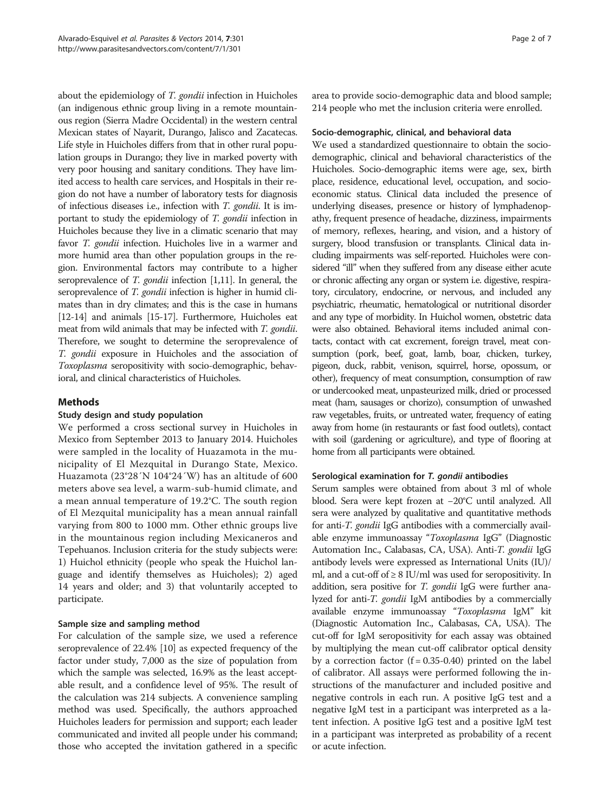about the epidemiology of *T. gondii* infection in Huicholes (an indigenous ethnic group living in a remote mountainous region (Sierra Madre Occidental) in the western central Mexican states of Nayarit, Durango, Jalisco and Zacatecas. Life style in Huicholes differs from that in other rural population groups in Durango; they live in marked poverty with very poor housing and sanitary conditions. They have limited access to health care services, and Hospitals in their region do not have a number of laboratory tests for diagnosis of infectious diseases i.e., infection with T. gondii. It is important to study the epidemiology of T. gondii infection in Huicholes because they live in a climatic scenario that may favor T. gondii infection. Huicholes live in a warmer and more humid area than other population groups in the region. Environmental factors may contribute to a higher seroprevalence of *T. gondii* infection [\[1,11](#page-6-0)]. In general, the seroprevalence of *T. gondii* infection is higher in humid climates than in dry climates; and this is the case in humans [[12](#page-6-0)-[14\]](#page-6-0) and animals [\[15-17\]](#page-6-0). Furthermore, Huicholes eat meat from wild animals that may be infected with *T. gondii.* Therefore, we sought to determine the seroprevalence of T. gondii exposure in Huicholes and the association of Toxoplasma seropositivity with socio-demographic, behavioral, and clinical characteristics of Huicholes.

## Methods

## Study design and study population

We performed a cross sectional survey in Huicholes in Mexico from September 2013 to January 2014. Huicholes were sampled in the locality of Huazamota in the municipality of El Mezquital in Durango State, Mexico. Huazamota (23°28´N 104°24´W) has an altitude of 600 meters above sea level, a warm-sub-humid climate, and a mean annual temperature of 19.2°C. The south region of El Mezquital municipality has a mean annual rainfall varying from 800 to 1000 mm. Other ethnic groups live in the mountainous region including Mexicaneros and Tepehuanos. Inclusion criteria for the study subjects were: 1) Huichol ethnicity (people who speak the Huichol language and identify themselves as Huicholes); 2) aged 14 years and older; and 3) that voluntarily accepted to participate.

## Sample size and sampling method

For calculation of the sample size, we used a reference seroprevalence of 22.4% [\[10\]](#page-6-0) as expected frequency of the factor under study, 7,000 as the size of population from which the sample was selected, 16.9% as the least acceptable result, and a confidence level of 95%. The result of the calculation was 214 subjects. A convenience sampling method was used. Specifically, the authors approached Huicholes leaders for permission and support; each leader communicated and invited all people under his command; those who accepted the invitation gathered in a specific

area to provide socio-demographic data and blood sample; 214 people who met the inclusion criteria were enrolled.

## Socio-demographic, clinical, and behavioral data

We used a standardized questionnaire to obtain the sociodemographic, clinical and behavioral characteristics of the Huicholes. Socio-demographic items were age, sex, birth place, residence, educational level, occupation, and socioeconomic status. Clinical data included the presence of underlying diseases, presence or history of lymphadenopathy, frequent presence of headache, dizziness, impairments of memory, reflexes, hearing, and vision, and a history of surgery, blood transfusion or transplants. Clinical data including impairments was self-reported. Huicholes were considered "ill" when they suffered from any disease either acute or chronic affecting any organ or system i.e. digestive, respiratory, circulatory, endocrine, or nervous, and included any psychiatric, rheumatic, hematological or nutritional disorder and any type of morbidity. In Huichol women, obstetric data were also obtained. Behavioral items included animal contacts, contact with cat excrement, foreign travel, meat consumption (pork, beef, goat, lamb, boar, chicken, turkey, pigeon, duck, rabbit, venison, squirrel, horse, opossum, or other), frequency of meat consumption, consumption of raw or undercooked meat, unpasteurized milk, dried or processed meat (ham, sausages or chorizo), consumption of unwashed raw vegetables, fruits, or untreated water, frequency of eating away from home (in restaurants or fast food outlets), contact with soil (gardening or agriculture), and type of flooring at home from all participants were obtained.

## Serological examination for T. gondii antibodies

Serum samples were obtained from about 3 ml of whole blood. Sera were kept frozen at −20°C until analyzed. All sera were analyzed by qualitative and quantitative methods for anti-T. gondii IgG antibodies with a commercially available enzyme immunoassay "Toxoplasma IgG" (Diagnostic Automation Inc., Calabasas, CA, USA). Anti-T. gondii IgG antibody levels were expressed as International Units (IU)/ ml, and a cut-off of  $\geq 8$  IU/ml was used for seropositivity. In addition, sera positive for *T. gondii* IgG were further analyzed for anti-T. gondii IgM antibodies by a commercially available enzyme immunoassay "Toxoplasma IgM" kit (Diagnostic Automation Inc., Calabasas, CA, USA). The cut-off for IgM seropositivity for each assay was obtained by multiplying the mean cut-off calibrator optical density by a correction factor  $(f = 0.35 - 0.40)$  printed on the label of calibrator. All assays were performed following the instructions of the manufacturer and included positive and negative controls in each run. A positive IgG test and a negative IgM test in a participant was interpreted as a latent infection. A positive IgG test and a positive IgM test in a participant was interpreted as probability of a recent or acute infection.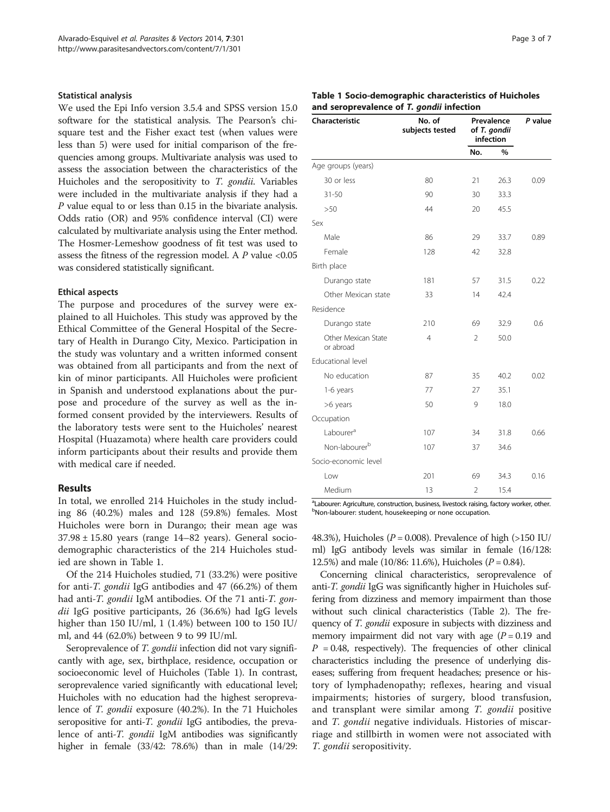#### Statistical analysis

We used the Epi Info version 3.5.4 and SPSS version 15.0 software for the statistical analysis. The Pearson's chisquare test and the Fisher exact test (when values were less than 5) were used for initial comparison of the frequencies among groups. Multivariate analysis was used to assess the association between the characteristics of the Huicholes and the seropositivity to T. gondii. Variables were included in the multivariate analysis if they had a P value equal to or less than 0.15 in the bivariate analysis. Odds ratio (OR) and 95% confidence interval (CI) were calculated by multivariate analysis using the Enter method. The Hosmer-Lemeshow goodness of fit test was used to assess the fitness of the regression model. A  $\cal P$  value  $<\!0.05$ was considered statistically significant.

#### Ethical aspects

The purpose and procedures of the survey were explained to all Huicholes. This study was approved by the Ethical Committee of the General Hospital of the Secretary of Health in Durango City, Mexico. Participation in the study was voluntary and a written informed consent was obtained from all participants and from the next of kin of minor participants. All Huicholes were proficient in Spanish and understood explanations about the purpose and procedure of the survey as well as the informed consent provided by the interviewers. Results of the laboratory tests were sent to the Huicholes' nearest Hospital (Huazamota) where health care providers could inform participants about their results and provide them with medical care if needed.

## Results

In total, we enrolled 214 Huicholes in the study including 86 (40.2%) males and 128 (59.8%) females. Most Huicholes were born in Durango; their mean age was  $37.98 \pm 15.80$  years (range  $14-82$  years). General sociodemographic characteristics of the 214 Huicholes studied are shown in Table 1.

Of the 214 Huicholes studied, 71 (33.2%) were positive for anti-T. gondii IgG antibodies and 47 (66.2%) of them had anti-*T. gondii* IgM antibodies. Of the 71 anti-*T. gon*dii IgG positive participants, 26 (36.6%) had IgG levels higher than 150 IU/ml, 1 (1.4%) between 100 to 150 IU/ ml, and 44 (62.0%) between 9 to 99 IU/ml.

Seroprevalence of *T. gondii* infection did not vary significantly with age, sex, birthplace, residence, occupation or socioeconomic level of Huicholes (Table 1). In contrast, seroprevalence varied significantly with educational level; Huicholes with no education had the highest seroprevalence of T. gondii exposure (40.2%). In the 71 Huicholes seropositive for anti-*T. gondii* IgG antibodies, the prevalence of anti-*T. gondii* IgM antibodies was significantly higher in female (33/42: 78.6%) than in male (14/29:

|  |  |  | <b>Table 1 Socio-demographic characteristics of Huicholes</b> |  |  |
|--|--|--|---------------------------------------------------------------|--|--|
|  |  |  | and seroprevalence of T. gondii infection                     |  |  |

| Characteristic                   | No. of<br>subjects tested | Prevalence<br>of T. gondii<br>infection | P value |      |
|----------------------------------|---------------------------|-----------------------------------------|---------|------|
|                                  |                           | No.                                     | %       |      |
| Age groups (years)               |                           |                                         |         |      |
| 30 or less                       | 80                        | 21                                      | 26.3    | 0.09 |
| $31 - 50$                        | 90                        | 30                                      | 33.3    |      |
| >50                              | 44                        | 20                                      | 45.5    |      |
| Sex                              |                           |                                         |         |      |
| Male                             | 86                        | 29                                      | 33.7    | 0.89 |
| Female                           | 128                       | 42                                      | 32.8    |      |
| Birth place                      |                           |                                         |         |      |
| Durango state                    | 181                       | 57                                      | 31.5    | 0.22 |
| Other Mexican state              | 33                        | 14                                      | 42.4    |      |
| Residence                        |                           |                                         |         |      |
| Durango state                    | 210                       | 69                                      | 32.9    | 0.6  |
| Other Mexican State<br>or abroad | $\overline{4}$            | $\mathfrak{D}$                          | 50.0    |      |
| Educational level                |                           |                                         |         |      |
| No education                     | 87                        | 35                                      | 40.2    | 0.02 |
| 1-6 years                        | 77                        | 27                                      | 35.1    |      |
| >6 years                         | 50                        | 9                                       | 18.0    |      |
| Occupation                       |                           |                                         |         |      |
| Labourer <sup>a</sup>            | 107                       | 34                                      | 31.8    | 0.66 |
| Non-labourer <sup>b</sup>        | 107                       | 37                                      | 34.6    |      |
| Socio-economic level             |                           |                                         |         |      |
| Low                              | 201                       | 69                                      | 34.3    | 0.16 |
| Medium                           | 13                        | $\overline{2}$                          | 15.4    |      |

<sup>a</sup> Labourer: Agriculture, construction, business, livestock raising, factory worker, other.<br><sup>b</sup>Non-Jabourer: student, bousekeeping or none occupation. bNon-labourer: student, housekeeping or none occupation.

48.3%), Huicholes ( $P = 0.008$ ). Prevalence of high (>150 IU/ ml) IgG antibody levels was similar in female (16/128: 12.5%) and male (10/86: 11.6%), Huicholes ( $P = 0.84$ ).

Concerning clinical characteristics, seroprevalence of anti-T. *gondii* IgG was significantly higher in Huicholes suffering from dizziness and memory impairment than those without such clinical characteristics (Table [2\)](#page-3-0). The frequency of *T. gondii* exposure in subjects with dizziness and memory impairment did not vary with age  $(P = 0.19$  and  $P = 0.48$ , respectively). The frequencies of other clinical characteristics including the presence of underlying diseases; suffering from frequent headaches; presence or history of lymphadenopathy; reflexes, hearing and visual impairments; histories of surgery, blood transfusion, and transplant were similar among T. gondii positive and *T. gondii* negative individuals. Histories of miscarriage and stillbirth in women were not associated with T. gondii seropositivity.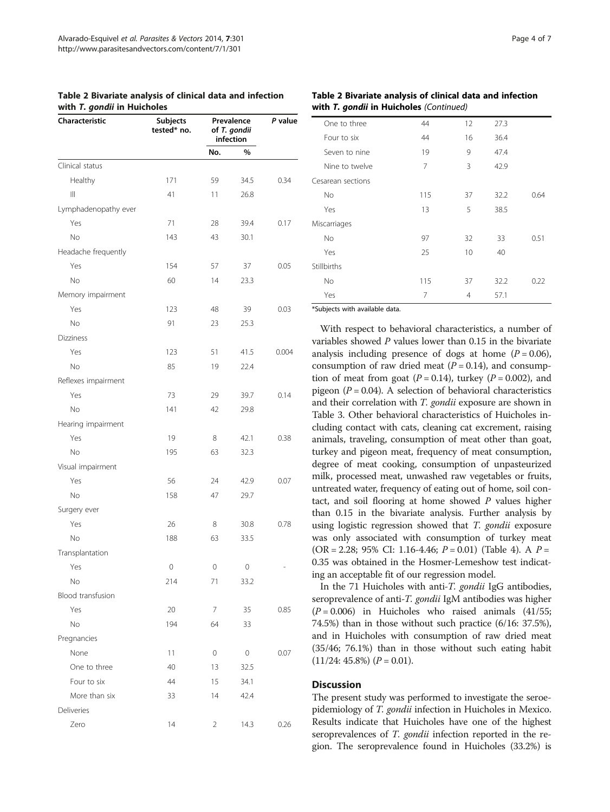<span id="page-3-0"></span>

| Table 2 Bivariate analysis of clinical data and infection |  |  |
|-----------------------------------------------------------|--|--|
| with T. gondii in Huicholes                               |  |  |

| Characteristic       | Subjects<br>tested* no. | Prevalence<br>of T. gondii<br>infection | P value |       |
|----------------------|-------------------------|-----------------------------------------|---------|-------|
|                      |                         | No.                                     | %       |       |
| Clinical status      |                         |                                         |         |       |
| Healthy              | 171                     | 59                                      | 34.5    | 0.34  |
| Ш                    | 41                      | 11                                      | 26.8    |       |
| Lymphadenopathy ever |                         |                                         |         |       |
| Yes                  | 71                      | 28                                      | 39.4    | 0.17  |
| No                   | 143                     | 43                                      | 30.1    |       |
| Headache frequently  |                         |                                         |         |       |
| Yes                  | 154                     | 57                                      | 37      | 0.05  |
| No                   | 60                      | 14                                      | 23.3    |       |
| Memory impairment    |                         |                                         |         |       |
| Yes                  | 123                     | 48                                      | 39      | 0.03  |
| No                   | 91                      | 23                                      | 25.3    |       |
| Dizziness            |                         |                                         |         |       |
| Yes                  | 123                     | 51                                      | 41.5    | 0.004 |
| No                   | 85                      | 19                                      | 22.4    |       |
| Reflexes impairment  |                         |                                         |         |       |
| Yes                  | 73                      | 29                                      | 39.7    | 0.14  |
| No                   | 141                     | 42                                      | 29.8    |       |
| Hearing impairment   |                         |                                         |         |       |
| Yes                  | 19                      | 8                                       | 42.1    | 0.38  |
| No                   | 195                     | 63                                      | 32.3    |       |
| Visual impairment    |                         |                                         |         |       |
| Yes                  | 56                      | 24                                      | 42.9    | 0.07  |
| No                   | 158                     | 47                                      | 29.7    |       |
| Surgery ever         |                         |                                         |         |       |
| Yes                  | 26                      | 8                                       | 30.8    | 0.78  |
| No                   | 188                     | 63                                      | 33.5    |       |
| Transplantation      |                         |                                         |         |       |
| Yes                  | 0                       | 0                                       | 0       |       |
| No                   | 214                     | 71                                      | 33.2    |       |
| Blood transfusion    |                         |                                         |         |       |
| Yes                  | 20                      | 7                                       | 35      | 0.85  |
| No                   | 194                     | 64                                      | 33      |       |
| Pregnancies          |                         |                                         |         |       |
| None                 | 11                      | 0                                       | 0       | 0.07  |
| One to three         | 40                      | 13                                      | 32.5    |       |
| Four to six          | 44                      | 15                                      | 34.1    |       |
| More than six        | 33                      | 14                                      | 42.4    |       |
| Deliveries           |                         |                                         |         |       |
| Zero                 | 14                      | 2                                       | 14.3    | 0.26  |

### Table 2 Bivariate analysis of clinical data and infection with T. gondii in Huicholes (Continued)

| One to three      | 44  | 12 | 27.3 |      |
|-------------------|-----|----|------|------|
| Four to six       | 44  | 16 | 36.4 |      |
| Seven to nine     | 19  | 9  | 47.4 |      |
| Nine to twelve    | 7   | 3  | 42.9 |      |
| Cesarean sections |     |    |      |      |
| <b>No</b>         | 115 | 37 | 32.2 | 0.64 |
| Yes               | 13  | 5  | 38.5 |      |
| Miscarriages      |     |    |      |      |
| <b>No</b>         | 97  | 32 | 33   | 0.51 |
| Yes               | 25  | 10 | 40   |      |
| Stillbirths       |     |    |      |      |
| <b>No</b>         | 115 | 37 | 32.2 | 0.22 |
| Yes               | 7   | 4  | 57.1 |      |

\*Subjects with available data.

With respect to behavioral characteristics, a number of variables showed P values lower than 0.15 in the bivariate analysis including presence of dogs at home  $(P = 0.06)$ , consumption of raw dried meat  $(P = 0.14)$ , and consumption of meat from goat ( $P = 0.14$ ), turkey ( $P = 0.002$ ), and pigeon ( $P = 0.04$ ). A selection of behavioral characteristics and their correlation with T. gondii exposure are shown in Table [3.](#page-4-0) Other behavioral characteristics of Huicholes including contact with cats, cleaning cat excrement, raising animals, traveling, consumption of meat other than goat, turkey and pigeon meat, frequency of meat consumption, degree of meat cooking, consumption of unpasteurized milk, processed meat, unwashed raw vegetables or fruits, untreated water, frequency of eating out of home, soil contact, and soil flooring at home showed  $P$  values higher than 0.15 in the bivariate analysis. Further analysis by using logistic regression showed that T. gondii exposure was only associated with consumption of turkey meat  $(OR = 2.28; 95\% CI: 1.16-4.46; P = 0.01)$  (Table [4\)](#page-4-0). A  $P =$ 0.35 was obtained in the Hosmer-Lemeshow test indicating an acceptable fit of our regression model.

In the 71 Huicholes with anti-T. gondii IgG antibodies, seroprevalence of anti-T. gondii IgM antibodies was higher  $(P = 0.006)$  in Huicholes who raised animals  $(41/55;$ 74.5%) than in those without such practice (6/16: 37.5%), and in Huicholes with consumption of raw dried meat (35/46; 76.1%) than in those without such eating habit  $(11/24: 45.8\%) (P = 0.01).$ 

### **Discussion**

The present study was performed to investigate the seroepidemiology of T. gondii infection in Huicholes in Mexico. Results indicate that Huicholes have one of the highest seroprevalences of *T. gondii* infection reported in the region. The seroprevalence found in Huicholes (33.2%) is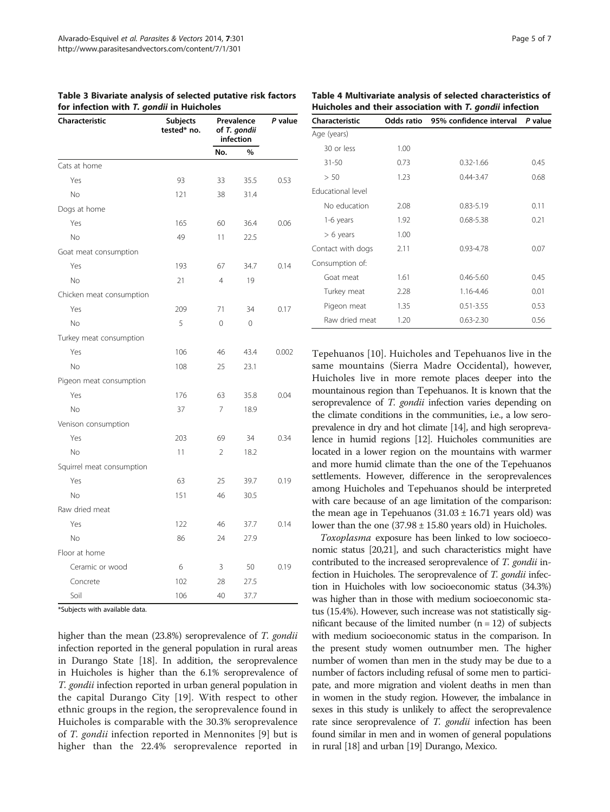<span id="page-4-0"></span>

|  |  |                                           |  | Table 3 Bivariate analysis of selected putative risk factors |  |
|--|--|-------------------------------------------|--|--------------------------------------------------------------|--|
|  |  | for infection with T. gondii in Huicholes |  |                                                              |  |

| Characteristic            | <b>Subjects</b><br>tested* no. | Prevalence<br>of T. gondii<br>infection |      | P value |  |
|---------------------------|--------------------------------|-----------------------------------------|------|---------|--|
|                           |                                | No.<br>%                                |      |         |  |
| Cats at home              |                                |                                         |      |         |  |
| Yes                       | 93                             | 33                                      | 35.5 | 0.53    |  |
| No                        | 121                            | 38                                      | 31.4 |         |  |
| Dogs at home              |                                |                                         |      |         |  |
| Yes                       | 165                            | 60                                      | 36.4 | 0.06    |  |
| No                        | 49                             | 11                                      | 22.5 |         |  |
| Goat meat consumption     |                                |                                         |      |         |  |
| Yes                       | 193                            | 67                                      | 34.7 | 0.14    |  |
| No                        | 21                             | $\overline{4}$                          | 19   |         |  |
| Chicken meat consumption  |                                |                                         |      |         |  |
| Yes                       | 209                            | 71                                      | 34   | 0.17    |  |
| No                        | 5                              | 0                                       | 0    |         |  |
| Turkey meat consumption   |                                |                                         |      |         |  |
| Yes                       | 106                            | 46                                      | 43.4 | 0.002   |  |
| No                        | 108                            | 25                                      | 23.1 |         |  |
| Pigeon meat consumption   |                                |                                         |      |         |  |
| Yes                       | 176                            | 63                                      | 35.8 | 0.04    |  |
| <b>No</b>                 | 37                             | $\overline{7}$                          | 18.9 |         |  |
| Venison consumption       |                                |                                         |      |         |  |
| Yes                       | 203                            | 69                                      | 34   | 0.34    |  |
| No                        | 11                             | $\overline{2}$                          | 18.2 |         |  |
| Squirrel meat consumption |                                |                                         |      |         |  |
| Yes                       | 63                             | 25                                      | 39.7 | 0.19    |  |
| No                        | 151                            | 46                                      | 30.5 |         |  |
| Raw dried meat            |                                |                                         |      |         |  |
| Yes                       | 122                            | 46                                      | 37.7 | 0.14    |  |
| No                        | 86                             | 24                                      | 27.9 |         |  |
| Floor at home             |                                |                                         |      |         |  |
| Ceramic or wood           | 6                              | 3                                       | 50   | 0.19    |  |
| Concrete                  | 102                            | 28                                      | 27.5 |         |  |
| Soil                      | 106                            | 40                                      | 37.7 |         |  |

\*Subjects with available data.

higher than the mean (23.8%) seroprevalence of *T. gondii* infection reported in the general population in rural areas in Durango State [[18](#page-6-0)]. In addition, the seroprevalence in Huicholes is higher than the 6.1% seroprevalence of T. gondii infection reported in urban general population in the capital Durango City [[19\]](#page-6-0). With respect to other ethnic groups in the region, the seroprevalence found in Huicholes is comparable with the 30.3% seroprevalence of T. gondii infection reported in Mennonites [\[9](#page-6-0)] but is higher than the 22.4% seroprevalence reported in

Table 4 Multivariate analysis of selected characteristics of Huicholes and their association with T. gondii infection

| Characteristic    |      | Odds ratio 95% confidence interval | P value |  |
|-------------------|------|------------------------------------|---------|--|
| Age (years)       |      |                                    |         |  |
| 30 or less        | 1.00 |                                    |         |  |
| 31-50             | 0.73 | $0.32 - 1.66$                      | 0.45    |  |
| > 50              | 1.23 | $0.44 - 3.47$                      | 0.68    |  |
| Educational level |      |                                    |         |  |
| No education      | 2.08 | $0.83 - 5.19$                      | 0.11    |  |
| 1-6 years         | 1.92 | $0.68 - 5.38$                      | 0.21    |  |
| $> 6$ years       | 1.00 |                                    |         |  |
| Contact with dogs | 2.11 | 0.93-4.78                          | 0.07    |  |
| Consumption of:   |      |                                    |         |  |
| Goat meat         | 1.61 | $0.46 - 5.60$                      | 0.45    |  |
| Turkey meat       | 2.28 | 1.16-4.46                          | 0.01    |  |
| Pigeon meat       | 1.35 | $0.51 - 3.55$                      | 0.53    |  |
| Raw dried meat    | 1.20 | $0.63 - 2.30$                      | 0.56    |  |

Tepehuanos [[10\]](#page-6-0). Huicholes and Tepehuanos live in the same mountains (Sierra Madre Occidental), however, Huicholes live in more remote places deeper into the mountainous region than Tepehuanos. It is known that the seroprevalence of *T. gondii* infection varies depending on the climate conditions in the communities, i.e., a low seroprevalence in dry and hot climate [[14](#page-6-0)], and high seroprevalence in humid regions [\[12](#page-6-0)]. Huicholes communities are located in a lower region on the mountains with warmer and more humid climate than the one of the Tepehuanos settlements. However, difference in the seroprevalences among Huicholes and Tepehuanos should be interpreted with care because of an age limitation of the comparison: the mean age in Tepehuanos  $(31.03 \pm 16.71)$  years old) was lower than the one  $(37.98 \pm 15.80$  years old) in Huicholes.

Toxoplasma exposure has been linked to low socioeconomic status [\[20,21](#page-6-0)], and such characteristics might have contributed to the increased seroprevalence of T. gondii infection in Huicholes. The seroprevalence of T. gondii infection in Huicholes with low socioeconomic status (34.3%) was higher than in those with medium socioeconomic status (15.4%). However, such increase was not statistically significant because of the limited number  $(n = 12)$  of subjects with medium socioeconomic status in the comparison. In the present study women outnumber men. The higher number of women than men in the study may be due to a number of factors including refusal of some men to participate, and more migration and violent deaths in men than in women in the study region. However, the imbalance in sexes in this study is unlikely to affect the seroprevalence rate since seroprevalence of T. gondii infection has been found similar in men and in women of general populations in rural [\[18\]](#page-6-0) and urban [\[19](#page-6-0)] Durango, Mexico.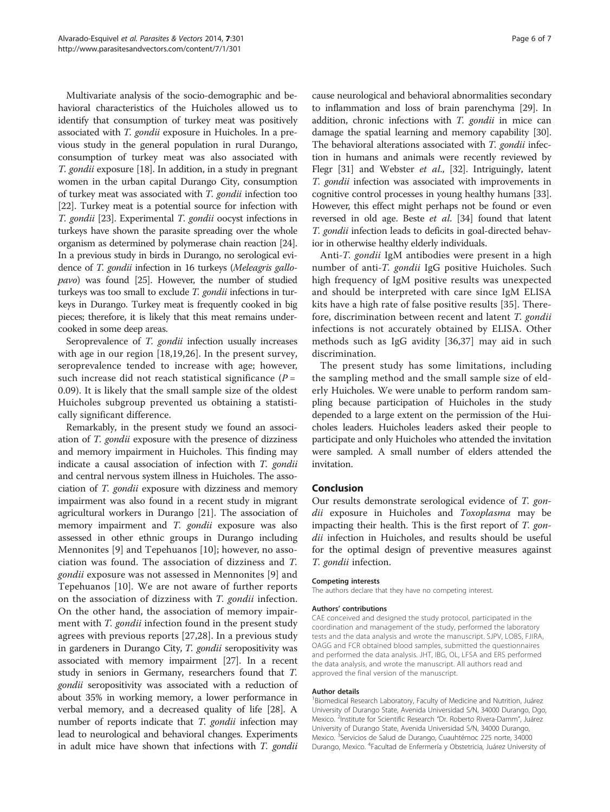Multivariate analysis of the socio-demographic and behavioral characteristics of the Huicholes allowed us to identify that consumption of turkey meat was positively associated with T. gondii exposure in Huicholes. In a previous study in the general population in rural Durango, consumption of turkey meat was also associated with T. gondii exposure [\[18\]](#page-6-0). In addition, in a study in pregnant women in the urban capital Durango City, consumption of turkey meat was associated with T. gondii infection too [[22](#page-6-0)]. Turkey meat is a potential source for infection with T. gondii [[23](#page-6-0)]. Experimental T. gondii oocyst infections in turkeys have shown the parasite spreading over the whole organism as determined by polymerase chain reaction [\[24](#page-6-0)]. In a previous study in birds in Durango, no serological evidence of T. gondii infection in 16 turkeys (Meleagris gallopavo) was found [\[25\]](#page-6-0). However, the number of studied turkeys was too small to exclude T. gondii infections in turkeys in Durango. Turkey meat is frequently cooked in big pieces; therefore, it is likely that this meat remains undercooked in some deep areas.

Seroprevalence of *T. gondii* infection usually increases with age in our region [\[18](#page-6-0),[19,26\]](#page-6-0). In the present survey, seroprevalence tended to increase with age; however, such increase did not reach statistical significance  $(P =$ 0.09). It is likely that the small sample size of the oldest Huicholes subgroup prevented us obtaining a statistically significant difference.

Remarkably, in the present study we found an association of T. gondii exposure with the presence of dizziness and memory impairment in Huicholes. This finding may indicate a causal association of infection with T. gondii and central nervous system illness in Huicholes. The association of T. gondii exposure with dizziness and memory impairment was also found in a recent study in migrant agricultural workers in Durango [\[21\]](#page-6-0). The association of memory impairment and *T. gondii* exposure was also assessed in other ethnic groups in Durango including Mennonites [\[9](#page-6-0)] and Tepehuanos [\[10](#page-6-0)]; however, no association was found. The association of dizziness and T. gondii exposure was not assessed in Mennonites [\[9](#page-6-0)] and Tepehuanos [[10\]](#page-6-0). We are not aware of further reports on the association of dizziness with T. gondii infection. On the other hand, the association of memory impairment with *T. gondii* infection found in the present study agrees with previous reports [[27,28\]](#page-6-0). In a previous study in gardeners in Durango City, T. gondii seropositivity was associated with memory impairment [[27](#page-6-0)]. In a recent study in seniors in Germany, researchers found that T. gondii seropositivity was associated with a reduction of about 35% in working memory, a lower performance in verbal memory, and a decreased quality of life [[28](#page-6-0)]. A number of reports indicate that T. gondii infection may lead to neurological and behavioral changes. Experiments in adult mice have shown that infections with T. gondii

cause neurological and behavioral abnormalities secondary to inflammation and loss of brain parenchyma [\[29](#page-6-0)]. In addition, chronic infections with T. gondii in mice can damage the spatial learning and memory capability [[30](#page-6-0)]. The behavioral alterations associated with T. gondii infection in humans and animals were recently reviewed by Flegr [\[31\]](#page-6-0) and Webster et al., [\[32\]](#page-6-0). Intriguingly, latent T. gondii infection was associated with improvements in cognitive control processes in young healthy humans [[33](#page-6-0)]. However, this effect might perhaps not be found or even reversed in old age. Beste et al. [\[34](#page-6-0)] found that latent T. gondii infection leads to deficits in goal-directed behavior in otherwise healthy elderly individuals.

Anti-T. gondii IgM antibodies were present in a high number of anti-T. gondii IgG positive Huicholes. Such high frequency of IgM positive results was unexpected and should be interpreted with care since IgM ELISA kits have a high rate of false positive results [[35\]](#page-6-0). Therefore, discrimination between recent and latent T. gondii infections is not accurately obtained by ELISA. Other methods such as IgG avidity [[36,37\]](#page-6-0) may aid in such discrimination.

The present study has some limitations, including the sampling method and the small sample size of elderly Huicholes. We were unable to perform random sampling because participation of Huicholes in the study depended to a large extent on the permission of the Huicholes leaders. Huicholes leaders asked their people to participate and only Huicholes who attended the invitation were sampled. A small number of elders attended the invitation.

## Conclusion

Our results demonstrate serological evidence of T. gondii exposure in Huicholes and Toxoplasma may be impacting their health. This is the first report of T. gondii infection in Huicholes, and results should be useful for the optimal design of preventive measures against T. gondii infection.

#### Competing interests

The authors declare that they have no competing interest.

#### Authors' contributions

CAE conceived and designed the study protocol, participated in the coordination and management of the study, performed the laboratory tests and the data analysis and wrote the manuscript. SJPV, LOBS, FJIRA, OAGG and FCR obtained blood samples, submitted the questionnaires and performed the data analysis. JHT, IBG, OL, LFSA and ERS performed the data analysis, and wrote the manuscript. All authors read and approved the final version of the manuscript.

#### Author details

<sup>1</sup> Biomedical Research Laboratory, Faculty of Medicine and Nutrition, Juárez University of Durango State, Avenida Universidad S/N, 34000 Durango, Dgo, Mexico. <sup>2</sup>Institute for Scientific Research "Dr. Roberto Rivera-Damm", Juárez University of Durango State, Avenida Universidad S/N, 34000 Durango, Mexico. <sup>3</sup>Servicios de Salud de Durango, Cuauhtémoc 225 norte, 34000 Durango, Mexico. <sup>4</sup>Facultad de Enfermería y Obstetricia, Juárez University of